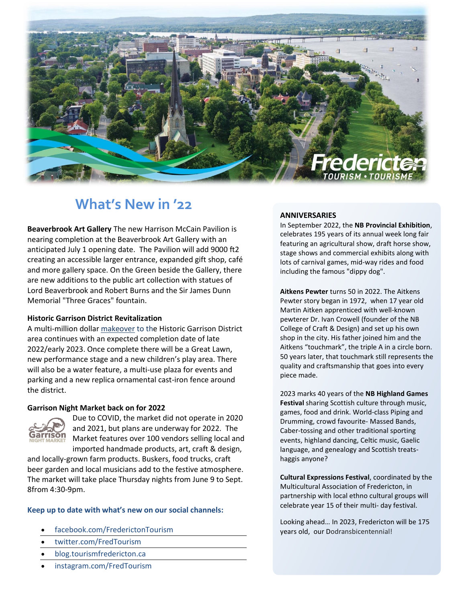

# **What's New in '22**

**Beaverbrook Art Gallery** The new Harrison McCain Pavilion is nearing completion at the Beaverbrook Art Gallery with an anticipated July 1 opening date. The Pavilion will add 9000 ft2 creating an accessible larger entrance, expanded gift shop, café and more gallery space. On the Green beside the Gallery, there are new additions to the public art collection with statues of Lord Beaverbrook and Robert Burns and the Sir James Dunn Memorial "Three Graces" fountain.

### **Historic Garrison District Revitalization**

A multi-million dollar [makeover](https://www.fredericton.ca/en/city-hall/plans-processes/officers-square-revitalization-plan) to the Historic Garrison District area continues with an expected completion date of late 2022/early 2023. Once complete there will be a Great Lawn, new performance stage and a new children's play area. There will also be a water feature, a multi-use plaza for events and parking and a new replica ornamental cast-iron fence around the district.

### **Garrison Night Market back on for 2022**



Due to COVID, the market did not operate in 2020 and 2021, but plans are underway for 2022. The Market features over 100 vendors selling local and imported handmade products, art, craft & design,

and locally-grown farm products. Buskers, food trucks, craft beer garden and local musicians add to the festive atmosphere. The market will take place Thursday nights from June 9 to Sept. 8from 4:30-9pm.

### **Keep up to date with what's new on our social channels:**

- facebook.com/FrederictonTourism
- twitter.com/FredTourism
- blog.tourismfredericton.ca
- instagram.com/FredTourism

#### **ANNIVERSARIES**

In September 2022, the **NB Provincial Exhibition**, celebrates 195 years of its annual week long fair featuring an agricultural show, draft horse show, stage shows and commercial exhibits along with lots of carnival games, mid-way rides and food including the famous "dippy dog".

**Aitkens Pewter** turns 50 in 2022. The Aitkens Pewter story began in 1972, when 17 year old Martin Aitken apprenticed with well-known pewterer Dr. Ivan Crowell (founder of the NB College of Craft & Design) and set up his own shop in the city. His father joined him and the Aitkens "touchmark", the triple A in a circle born. 50 years later, that touchmark still represents the quality and craftsmanship that goes into every piece made.

2023 marks 40 years of the **NB Highland Games Festival** sharing Scottish culture through music, games, food and drink. World-class Piping and Drumming, crowd favourite- Massed Bands, Caber-tossing and other traditional sporting events, highland dancing, Celtic music, Gaelic language, and genealogy and Scottish treatshaggis anyone?

**Cultural Expressions Festival**, coordinated by the Multicultural Association of Fredericton, in partnership with local ethno cultural groups will celebrate year 15 of their multi- day festival.

Looking ahead… In 2023, Fredericton will be 175 years old, our Dodransbicentennial!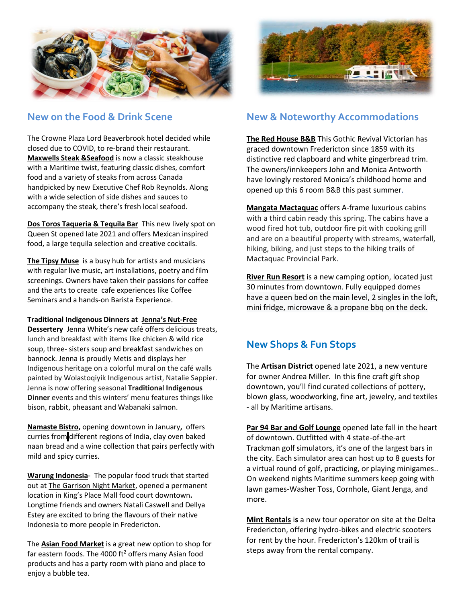

## **New on the Food & Drink Scene**

The Crowne Plaza Lord Beaverbrook hotel decided while closed due to COVID, to re-brand their restaurant. **[Maxwells Steak &Seafood](https://www.facebook.com/maxwellsfredericton)** is now a classic steakhouse with a Maritime twist, featuring classic dishes, comfort food and a variety of steaks from across Canada handpicked by new Executive Chef Rob Reynolds. Along with a wide selection of side dishes and sauces to accompany the steak, there's fresh local seafood.

**[Dos Toros Taqueria & Tequila Bar](https://www.facebook.com/dostoros.nb)** This new lively spot on Queen St opened late 2021 and offers Mexican inspired food, a large tequila selection and creative cocktails.

**[The Tipsy Muse](https://www.tipsymusecafe.ca/seminars/experiences)** is a busy hub for artists and musicians with regular live music, art installations, poetry and film screenings. Owners have taken their passions for coffee and the arts to create cafe experiences like Coffee Seminars and a hands-on Barista Experience.

### **Traditional Indigenous Dinners at [Jenna's Nut](https://www.facebook.com/nutfreedessertery)-Free**

**[Dessertery](https://www.facebook.com/nutfreedessertery)** Jenna White's new café offers delicious treats, lunch and breakfast with items like chicken & wild rice soup, three- sisters soup and breakfast sandwiches on bannock. Jenna is proudly Metis and displays her Indigenous heritage on a colorful mural on the café walls painted by Wolastoqiyik Indigenous artist, Natalie Sappier. Jenna is now offering seasonal **Traditional Indigenous Dinner** events and this winters' menu features things like bison, rabbit, pheasant and Wabanaki salmon.

**[Namaste Bistro,](https://www.facebook.com/namastebistrofredericton)** opening downtown in January**,** offers curries from different regions of India, clay oven baked naan bread and a wine collection that pairs perfectly with mild and spicy curries.

**[Warung Indonesia](https://www.facebook.com/Warung-Indonesia-500237070441842)**- [The popular food truck](https://today.us11.list-manage.com/track/click?u=895b709547bfd5743d162df3d&id=72836fb969&e=a0041d3e0c) that started out at The [Garrison](https://www.facebook.com/GarrisonNightMarket/) Night [Market, opened a permanent](https://today.us11.list-manage.com/track/click?u=895b709547bfd5743d162df3d&id=72836fb969&e=a0041d3e0c)  location [in King's Place Mall food court](https://today.us11.list-manage.com/track/click?u=895b709547bfd5743d162df3d&id=72836fb969&e=a0041d3e0c) downtown**.**  Longtime friends and owners Natali Caswell and Dellya Estey are excited to bring the flavours of their native Indonesia to more people in Fredericton.

The **Asian Food Market** is a great new option to shop for far eastern foods. The 4000  $ft^2$  offers many Asian food products and has a party room with piano and place to enjoy a bubble tea.



# **New & Noteworthy Accommodations**

**[The Red House B&B](http://www.theredhousefredericton.ca/)** This Gothic Revival Victorian has graced downtown Fredericton since 1859 with its distinctive red clapboard and white gingerbread trim. The owners/innkeepers John and Monica Antworth have lovingly restored Monica's childhood home and opened up this 6 room B&B this past summer.

**[Mangata Mactaquac](https://www.facebook.com/Mangata-Mactaquac-225561772765197/?ref=page_internal)** offers A-frame luxurious cabins with a third cabin ready this spring. The cabins have a wood fired hot tub, outdoor fire pit with cooking grill and are on a beautiful property with streams, waterfall, hiking, biking, and just steps to the hiking trails of Mactaquac Provincial Park.

**[River Run Resort](https://www.facebook.com/riverrunresortnb)** is a new camping option, located just 30 minutes from downtown. Fully equipped domes have a queen bed on the main level, 2 singles in the loft, mini fridge, microwave & a propane bbq on the deck.

# **New Shops & Fun Stops**

The **[Artisan District](https://www.facebook.com/artisandistrict)** opened late 2021, a new venture for owner Andrea Miller. In this fine craft gift shop downtown, you'll find curated collections of pottery, blown glass, woodworking, fine art, jewelry, and textiles - all by Maritime artisans.

**[Par 94 Bar and Golf](https://www.facebook.com/Par94Golf) Lounge** opened late fall in the heart of downtown. Outfitted with 4 state-of-the-art Trackman golf simulators, it's one of the largest bars in the city. Each simulator area can host up to 8 guests for a virtual round of golf, practicing, or playing minigames.. On weekend nights Maritime summers keep going with lawn games-Washer Toss, Cornhole, Giant Jenga, and more.

**[Mint Rentals](https://www.facebook.com/MintRentalsNB)** i**s** a new tour operator on site at the Delta Fredericton, offering hydro-bikes and electric scooters for rent by the hour. Fredericton's 120km of trail is steps away from the rental company.